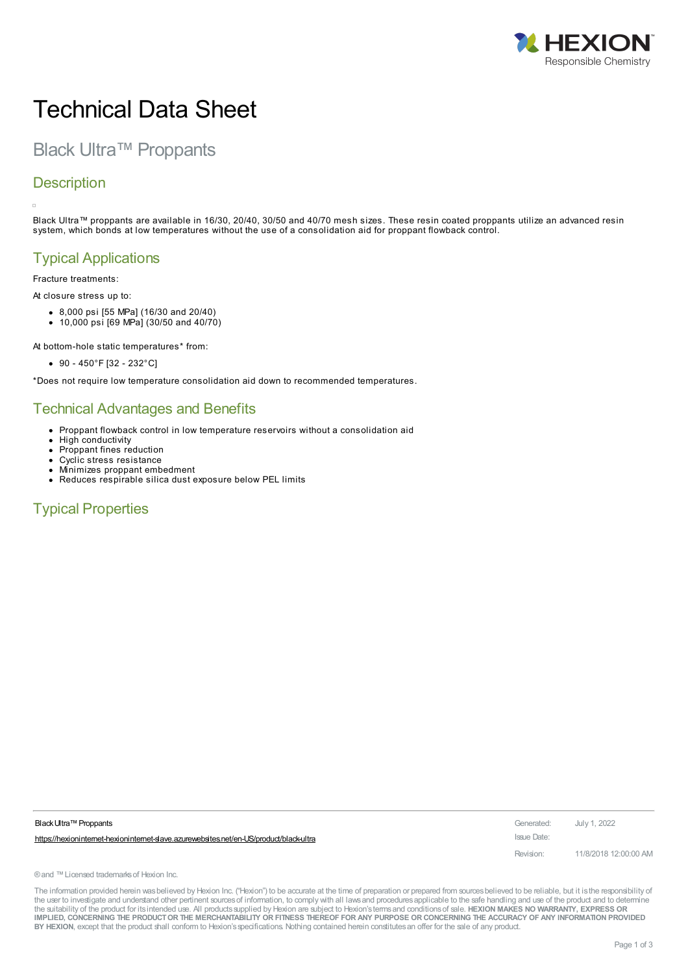

# Technical Data Sheet

Black Ultra™ Proppants

## **Description**

Black Ultra™ proppants are available in 16/30, 20/40, 30/50 and 40/70 mesh sizes. These resin coated proppants utilize an advanced resin system, which bonds at low temperatures without the use of a consolidation aid for proppant flowback control.

# Typical Applications

Fracture treatments:

At closure stress up to:

- 8,000 psi [55 MPa] (16/30 and 20/40)
- 10,000 psi [69 MPa] (30/50 and 40/70)

At bottom-hole static temperatures\* from:

 $\bullet$  90 - 450°F [32 - 232°C]

\*Does not require low temperature consolidation aid down to recommended temperatures.

## Technical Advantages and Benefits

- Proppant flowback control in low temperature reservoirs without a consolidation aid
- $\bullet$ High conductivity
- $\bullet$ Proppant fines reduction
- Cyclic stress resistance  $\bullet$
- Minimizes proppant embedment Reduces respirable silica dust exposure below PEL limits

Typical Properties

| Black Ultra™ Proppants                                                                | Generated:  | July 1, 2022          |
|---------------------------------------------------------------------------------------|-------------|-----------------------|
| https://hexionintemet-hexionintemet-slave.azurewebsites.net/en-US/product/black-ultra | Issue Date: |                       |
|                                                                                       | Revision:   | 11/8/2018 12:00:00 AM |

® and ™ Licensed trademarks of Hexion Inc.

The information provided herein was believed by Hexion Inc. ("Hexion") to be accurate at the time of preparation or prepared from sources believed to be reliable, but it is the responsibility of the user to investigate and understand other pertinent sources of information, to comply with all laws and procedures applicable to the safe handling and use of the product and to determine the suitability of the product for itsintended use. All productssupplied by Hexion are subject to Hexion'stermsand conditionsof sale. **HEXION MAKES NO WARRANTY, EXPRESS OR** IMPLIED, CONCERNING THE PRODUCT OR THE MERCHANTABILITY OR FITNESS THEREOF FOR ANY PURPOSE OR CONCERNING THE ACCURACY OF ANY INFORMATION PROVIDED **BY HEXION**, except that the product shall conform to Hexion'sspecifications. Nothing contained herein constitutesan offer for the sale of any product.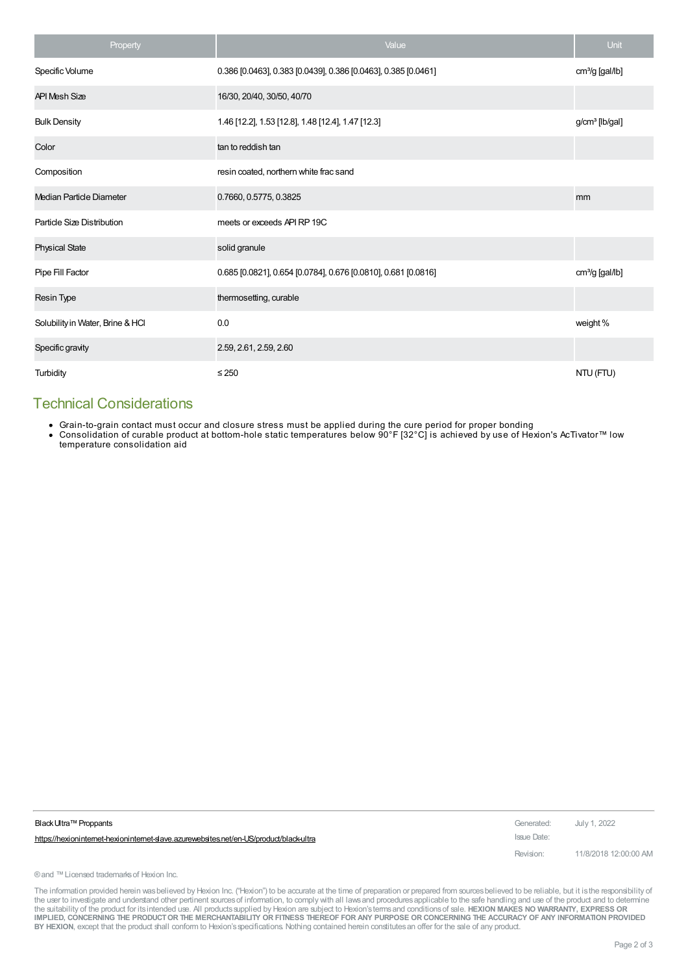| Property                         | Value                                                          | Unit                        |
|----------------------------------|----------------------------------------------------------------|-----------------------------|
| Specific Volume                  | 0.386 [0.0463], 0.383 [0.0439], 0.386 [0.0463], 0.385 [0.0461] | cm <sup>3</sup> /g [gal/lb] |
| <b>API Mesh Size</b>             | 16/30, 20/40, 30/50, 40/70                                     |                             |
| <b>Bulk Density</b>              | 1.46 [12.2], 1.53 [12.8], 1.48 [12.4], 1.47 [12.3]             | g/cm <sup>3</sup> [lb/gal]  |
| Color                            | tan to reddish tan                                             |                             |
| Composition                      | resin coated, northern white frac sand                         |                             |
| Median Particle Diameter         | 0.7660, 0.5775, 0.3825                                         | mm                          |
| Particle Size Distribution       | meets or exceeds API RP 19C                                    |                             |
| <b>Physical State</b>            | solid granule                                                  |                             |
| Pipe Fill Factor                 | 0.685 [0.0821], 0.654 [0.0784], 0.676 [0.0810], 0.681 [0.0816] | $cm3/g$ [gal/lb]            |
| Resin Type                       | thermosetting, curable                                         |                             |
| Solubility in Water, Brine & HCl | 0.0                                                            | weight %                    |
| Specific gravity                 | 2.59, 2.61, 2.59, 2.60                                         |                             |
| Turbidity                        | $\leq$ 250                                                     | NTU (FTU)                   |

## Technical Considerations

- Grain-to-grain contact must occur and closure stress must be applied during the cure period for proper bonding
- Consolidation of curable product at bottom-hole static temperatures below 90°F [32°C] is achieved by use of Hexion's AcTivator™ low temperature consolidation aid

| Black Ultra™ Proppants                                                                | Generated:  | July 1, 2022          |
|---------------------------------------------------------------------------------------|-------------|-----------------------|
| https://hexionintemet-hexionintemet-slave.azurewebsites.net/en-US/product/black-ultra | Issue Date: |                       |
|                                                                                       | Revision:   | 11/8/2018 12:00:00 AM |

® and ™ Licensed trademarks of Hexion Inc.

The information provided herein was believed by Hexion Inc. ("Hexion") to be accurate at the time of preparation or prepared from sources believed to be reliable, but it is the responsibility of the user to investigate and understand other pertinent sources of information, to comply with all laws and procedures applicable to the safe handling and use of the product and to determine<br>the suitability of the product f IMPLIED, CONCERNING THE PRODUCT OR THE MERCHANTABILITY OR FITNESS THEREOF FOR ANY PURPOSE OR CONCERNING THE ACCURACY OF ANY INFORMATION PROVIDED **BY HEXION**, except that the product shall conform to Hexion'sspecifications. Nothing contained herein constitutesan offer for the sale of any product.